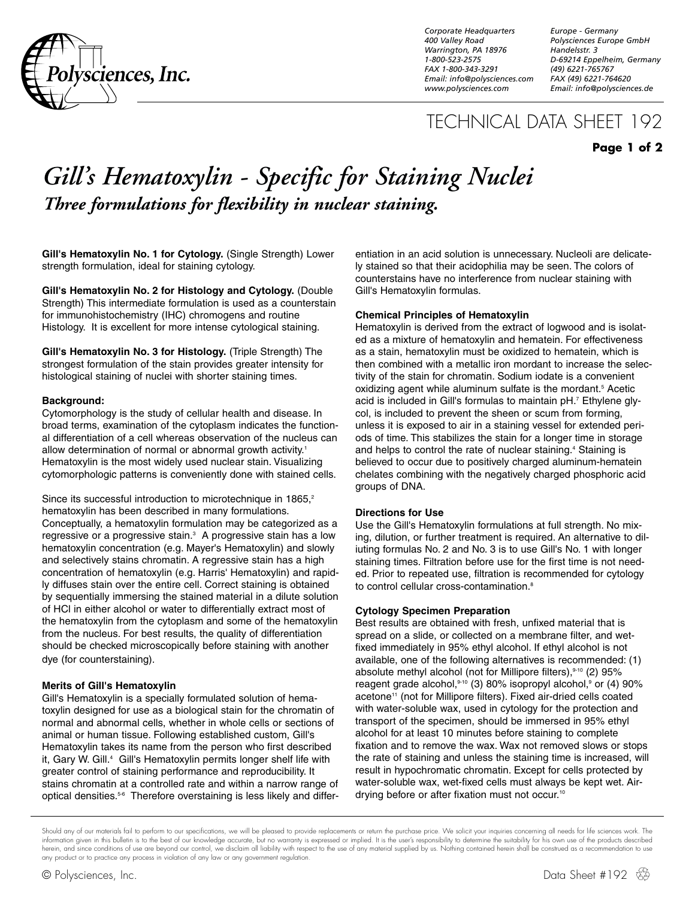

*Corporate Headquarters 400 Valley Road Warrington, PA 18976 1-800-523-2575 FAX 1-800-343-3291 Email: info@polysciences.com www.polysciences.com*

*Europe - Germany Polysciences Europe GmbH Handelsstr. 3 D-69214 Eppelheim, Germany (49) 6221-765767 FAX (49) 6221-764620 Email: info@polysciences.de*

## TECHNICAL DATA SHEET 192

## **Page 1 of 2**

# *Gill's Hematoxylin - Specific for Staining Nuclei Three formulations for flexibility in nuclear staining.*

**Gill's Hematoxylin No. 1 for Cytology.** (Single Strength) Lower strength formulation, ideal for staining cytology.

**Gill's Hematoxylin No. 2 for Histology and Cytology.** (Double Strength) This intermediate formulation is used as a counterstain for immunohistochemistry (IHC) chromogens and routine Histology. It is excellent for more intense cytological staining.

**Gill's Hematoxylin No. 3 for Histology.** (Triple Strength) The strongest formulation of the stain provides greater intensity for histological staining of nuclei with shorter staining times.

#### **Background:**

Cytomorphology is the study of cellular health and disease. In broad terms, examination of the cytoplasm indicates the functional differentiation of a cell whereas observation of the nucleus can allow determination of normal or abnormal growth activity.<sup>1</sup> Hematoxylin is the most widely used nuclear stain. Visualizing cytomorphologic patterns is conveniently done with stained cells.

Since its successful introduction to microtechnique in 1865,<sup>2</sup> hematoxylin has been described in many formulations. Conceptually, a hematoxylin formulation may be categorized as a regressive or a progressive stain.<sup>3</sup> A progressive stain has a low hematoxylin concentration (e.g. Mayer's Hematoxylin) and slowly and selectively stains chromatin. A regressive stain has a high concentration of hematoxylin (e.g. Harris' Hematoxylin) and rapidly diffuses stain over the entire cell. Correct staining is obtained by sequentially immersing the stained material in a dilute solution of HCl in either alcohol or water to differentially extract most of the hematoxylin from the cytoplasm and some of the hematoxylin from the nucleus. For best results, the quality of differentiation should be checked microscopically before staining with another dye (for counterstaining).

#### **Merits of Gill's Hematoxylin**

Gill's Hematoxylin is a specially formulated solution of hematoxylin designed for use as a biological stain for the chromatin of normal and abnormal cells, whether in whole cells or sections of animal or human tissue. Following established custom, Gill's Hematoxylin takes its name from the person who first described it, Gary W. Gill.<sup>4</sup> Gill's Hematoxylin permits longer shelf life with greater control of staining performance and reproducibility. It stains chromatin at a controlled rate and within a narrow range of optical densities.<sup>5-6</sup> Therefore overstaining is less likely and differentiation in an acid solution is unnecessary. Nucleoli are delicately stained so that their acidophilia may be seen. The colors of counterstains have no interference from nuclear staining with Gill's Hematoxylin formulas.

#### **Chemical Principles of Hematoxylin**

Hematoxylin is derived from the extract of logwood and is isolated as a mixture of hematoxylin and hematein. For effectiveness as a stain, hematoxylin must be oxidized to hematein, which is then combined with a metallic iron mordant to increase the selectivity of the stain for chromatin. Sodium iodate is a convenient oxidizing agent while aluminum sulfate is the mordant.<sup>5</sup> Acetic acid is included in Gill's formulas to maintain pH.7 Ethylene glycol, is included to prevent the sheen or scum from forming, unless it is exposed to air in a staining vessel for extended periods of time. This stabilizes the stain for a longer time in storage and helps to control the rate of nuclear staining.<sup>4</sup> Staining is believed to occur due to positively charged aluminum-hematein chelates combining with the negatively charged phosphoric acid groups of DNA.

#### **Directions for Use**

Use the Gill's Hematoxylin formulations at full strength. No mixing, dilution, or further treatment is required. An alternative to diliuting formulas No. 2 and No. 3 is to use Gill's No. 1 with longer staining times. Filtration before use for the first time is not needed. Prior to repeated use, filtration is recommended for cytology to control cellular cross-contamination.<sup>8</sup>

#### **Cytology Specimen Preparation**

Best results are obtained with fresh, unfixed material that is spread on a slide, or collected on a membrane filter, and wetfixed immediately in 95% ethyl alcohol. If ethyl alcohol is not available, one of the following alternatives is recommended: (1) absolute methyl alcohol (not for Millipore filters),<sup>9-10</sup> (2) 95% reagent grade alcohol,<sup>9-10</sup> (3) 80% isopropyl alcohol,<sup>9</sup> or (4) 90% acetone<sup>11</sup> (not for Millipore filters). Fixed air-dried cells coated with water-soluble wax, used in cytology for the protection and transport of the specimen, should be immersed in 95% ethyl alcohol for at least 10 minutes before staining to complete fixation and to remove the wax. Wax not removed slows or stops the rate of staining and unless the staining time is increased, will result in hypochromatic chromatin. Except for cells protected by water-soluble wax, wet-fixed cells must always be kept wet. Airdrying before or after fixation must not occur.<sup>10</sup>

Should any of our materials fail to perform to our specifications, we will be pleased to provide replacements or return the purchase price. We solicit your inquiries concerning all needs for life sciences work. The information given in this bulletin is to the best of our knowledge accurate, but no warranty is expressed or implied. It is the user's responsibility to determine the suitability for his own use of the products described herein, and since conditions of use are beyond our control, we disclaim all liability with respect to the use of any material supplied by us. Nothing contained herein shall be construed as a recommendation to use any product or to practice any process in violation of any law or any government regulation.